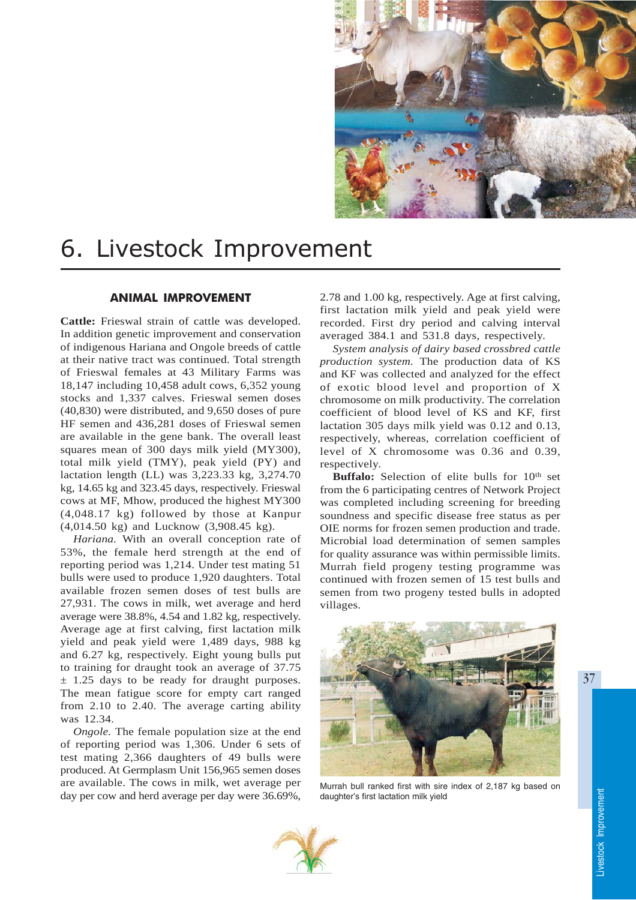

# 6. Livestock Improvement

# ANIMAL IMPROVEMENT

**Cattle:** Frieswal strain of cattle was developed. In addition genetic improvement and conservation of indigenous Hariana and Ongole breeds of cattle at their native tract was continued. Total strength of Frieswal females at 43 Military Farms was 18,147 including 10,458 adult cows, 6,352 young stocks and 1,337 calves. Frieswal semen doses (40,830) were distributed, and 9,650 doses of pure HF semen and 436,281 doses of Frieswal semen are available in the gene bank. The overall least squares mean of 300 days milk yield (MY300), total milk yield (TMY), peak yield (PY) and lactation length (LL) was 3,223.33 kg, 3,274.70 kg, 14.65 kg and 323.45 days, respectively. Frieswal cows at MF, Mhow, produced the highest MY300 (4,048.17 kg) followed by those at Kanpur (4,014.50 kg) and Lucknow (3,908.45 kg).

*Hariana.* With an overall conception rate of 53%, the female herd strength at the end of reporting period was 1,214. Under test mating 51 bulls were used to produce 1,920 daughters. Total available frozen semen doses of test bulls are 27,931. The cows in milk, wet average and herd average were 38.8%, 4.54 and 1.82 kg, respectively. Average age at first calving, first lactation milk yield and peak yield were 1,489 days, 988 kg and 6.27 kg, respectively. Eight young bulls put to training for draught took an average of 37.75 ± 1.25 days to be ready for draught purposes. The mean fatigue score for empty cart ranged from 2.10 to 2.40. The average carting ability was 12.34.

*Ongole.* The female population size at the end of reporting period was 1,306. Under 6 sets of test mating 2,366 daughters of 49 bulls were produced. At Germplasm Unit 156,965 semen doses are available. The cows in milk, wet average per day per cow and herd average per day were 36.69%,

2.78 and 1.00 kg, respectively. Age at first calving, first lactation milk yield and peak yield were recorded. First dry period and calving interval averaged 384.1 and 531.8 days, respectively.

*System analysis of dairy based crossbred cattle production system.* The production data of KS and KF was collected and analyzed for the effect of exotic blood level and proportion of X chromosome on milk productivity. The correlation coefficient of blood level of KS and KF, first lactation 305 days milk yield was 0.12 and 0.13, respectively, whereas, correlation coefficient of level of X chromosome was 0.36 and 0.39, respectively.

Buffalo: Selection of elite bulls for 10<sup>th</sup> set from the 6 participating centres of Network Project was completed including screening for breeding soundness and specific disease free status as per OIE norms for frozen semen production and trade. Microbial load determination of semen samples for quality assurance was within permissible limits. Murrah field progeny testing programme was continued with frozen semen of 15 test bulls and semen from two progeny tested bulls in adopted villages.



Murrah bull ranked first with sire index of 2,187 kg based on daughter's first lactation milk yield

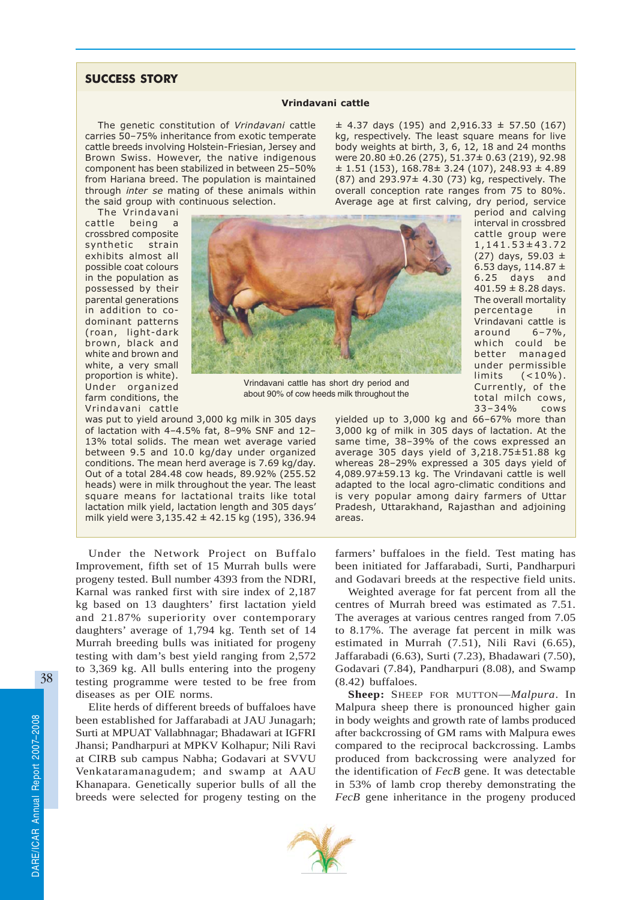## SUCCESS STORY

#### Vrindavani cattle

The genetic constitution of Vrindavani cattle carries 50–75% inheritance from exotic temperate cattle breeds involving Holstein-Friesian, Jersey and Brown Swiss. However, the native indigenous component has been stabilized in between 25–50% from Hariana breed. The population is maintained through inter se mating of these animals within the said group with continuous selection.

 $\pm$  4.37 days (195) and 2,916.33  $\pm$  57.50 (167) kg, respectively. The least square means for live body weights at birth, 3, 6, 12, 18 and 24 months were 20.80 ±0.26 (275), 51.37± 0.63 (219), 92.98  $\pm$  1.51 (153), 168.78 $\pm$  3.24 (107), 248.93  $\pm$  4.89 (87) and 293.97± 4.30 (73) kg, respectively. The overall conception rate ranges from 75 to 80%. Average age at first calving, dry period, service

The Vrindavani cattle being a crossbred composite synthetic strain exhibits almost all possible coat colours in the population as possessed by their parental generations in addition to codominant patterns (roan, light-dark brown, black and white and brown and white, a very small proportion is white). Under organized farm conditions, the Vrindavani cattle



Vrindavani cattle has short dry period and about 90% of cow heeds milk throughout the

was put to yield around 3,000 kg milk in 305 days of lactation with 4–4.5% fat, 8–9% SNF and 12– 13% total solids. The mean wet average varied between 9.5 and 10.0 kg/day under organized conditions. The mean herd average is 7.69 kg/day. Out of a total 284.48 cow heads, 89.92% (255.52 heads) were in milk throughout the year. The least square means for lactational traits like total lactation milk yield, lactation length and 305 days' milk yield were  $3,135.42 \pm 42.15$  kg (195), 336.94

Under the Network Project on Buffalo Improvement, fifth set of 15 Murrah bulls were progeny tested. Bull number 4393 from the NDRI, Karnal was ranked first with sire index of 2,187 kg based on 13 daughters' first lactation yield and 21.87% superiority over contemporary daughters' average of 1,794 kg. Tenth set of 14 Murrah breeding bulls was initiated for progeny testing with dam's best yield ranging from 2,572 to 3,369 kg. All bulls entering into the progeny testing programme were tested to be free from diseases as per OIE norms.

Elite herds of different breeds of buffaloes have been established for Jaffarabadi at JAU Junagarh; Surti at MPUAT Vallabhnagar; Bhadawari at IGFRI Jhansi; Pandharpuri at MPKV Kolhapur; Nili Ravi at CIRB sub campus Nabha; Godavari at SVVU Venkataramanagudem; and swamp at AAU Khanapara. Genetically superior bulls of all the breeds were selected for progeny testing on the period and calving interval in crossbred cattle group were 1,141.53±43.72 (27) days, 59.03  $\pm$ 6.53 days,  $114.87 \pm$ 6.25 days and  $401.59 \pm 8.28$  days. The overall mortality percentage in Vrindavani cattle is around 6–7%, which could be better managed under permissible limits (<10%). Currently, of the total milch cows, 33–34% cows

yielded up to 3,000 kg and 66–67% more than 3,000 kg of milk in 305 days of lactation. At the same time, 38–39% of the cows expressed an average 305 days yield of 3,218.75±51.88 kg whereas 28–29% expressed a 305 days yield of 4,089.97±59.13 kg. The Vrindavani cattle is well adapted to the local agro-climatic conditions and is very popular among dairy farmers of Uttar Pradesh, Uttarakhand, Rajasthan and adjoining areas.

farmers' buffaloes in the field. Test mating has been initiated for Jaffarabadi, Surti, Pandharpuri and Godavari breeds at the respective field units.

Weighted average for fat percent from all the centres of Murrah breed was estimated as 7.51. The averages at various centres ranged from 7.05 to 8.17%. The average fat percent in milk was estimated in Murrah (7.51), Nili Ravi (6.65), Jaffarabadi (6.63), Surti (7.23), Bhadawari (7.50), Godavari (7.84), Pandharpuri (8.08), and Swamp (8.42) buffaloes.

**Sheep:** SHEEP FOR MUTTON—*Malpura*. In Malpura sheep there is pronounced higher gain in body weights and growth rate of lambs produced after backcrossing of GM rams with Malpura ewes compared to the reciprocal backcrossing. Lambs produced from backcrossing were analyzed for the identification of *FecB* gene. It was detectable in 53% of lamb crop thereby demonstrating the *FecB* gene inheritance in the progeny produced

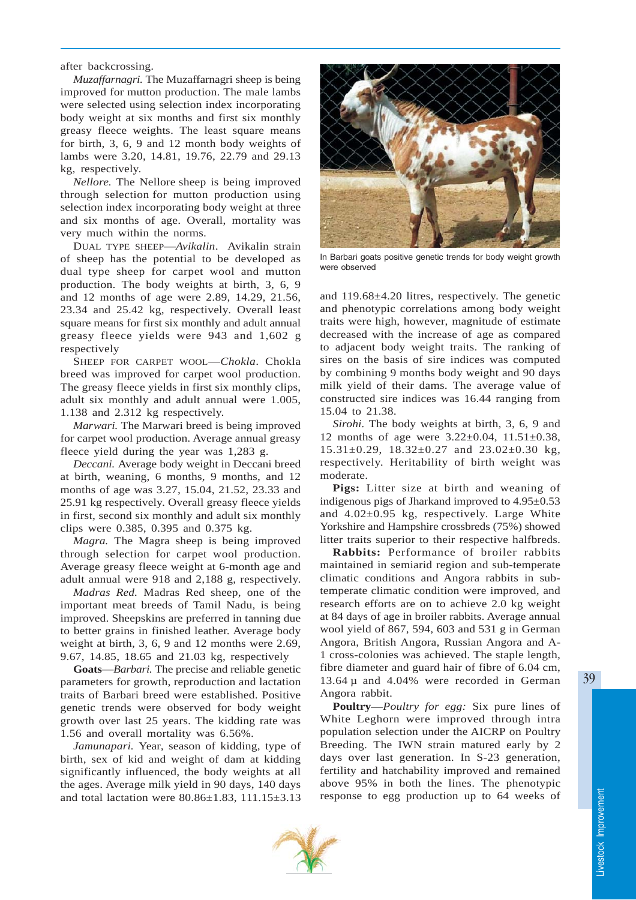after backcrossing.

*Muzaffarnagri.* The Muzaffarnagri sheep is being improved for mutton production. The male lambs were selected using selection index incorporating body weight at six months and first six monthly greasy fleece weights. The least square means for birth, 3, 6, 9 and 12 month body weights of lambs were 3.20, 14.81, 19.76, 22.79 and 29.13 kg, respectively.

*Nellore.* The Nellore sheep is being improved through selection for mutton production using selection index incorporating body weight at three and six months of age. Overall, mortality was very much within the norms.

DUAL TYPE SHEEP—*Avikalin*. Avikalin strain of sheep has the potential to be developed as dual type sheep for carpet wool and mutton production. The body weights at birth, 3, 6, 9 and 12 months of age were 2.89, 14.29, 21.56, 23.34 and 25.42 kg, respectively. Overall least square means for first six monthly and adult annual greasy fleece yields were 943 and 1,602 g respectively

SHEEP FOR CARPET WOOL—*Chokla*. Chokla breed was improved for carpet wool production. The greasy fleece yields in first six monthly clips, adult six monthly and adult annual were 1.005, 1.138 and 2.312 kg respectively.

*Marwari.* The Marwari breed is being improved for carpet wool production. Average annual greasy fleece yield during the year was 1,283 g.

*Deccani.* Average body weight in Deccani breed at birth, weaning, 6 months, 9 months, and 12 months of age was 3.27, 15.04, 21.52, 23.33 and 25.91 kg respectively. Overall greasy fleece yields in first, second six monthly and adult six monthly clips were 0.385, 0.395 and 0.375 kg.

*Magra.* The Magra sheep is being improved through selection for carpet wool production. Average greasy fleece weight at 6-month age and adult annual were 918 and 2,188 g, respectively.

*Madras Red.* Madras Red sheep, one of the important meat breeds of Tamil Nadu, is being improved. Sheepskins are preferred in tanning due to better grains in finished leather. Average body weight at birth, 3, 6, 9 and 12 months were 2.69, 9.67, 14.85, 18.65 and 21.03 kg, respectively

**Goats**—*Barbari.* The precise and reliable genetic parameters for growth, reproduction and lactation traits of Barbari breed were established. Positive genetic trends were observed for body weight growth over last 25 years. The kidding rate was 1.56 and overall mortality was 6.56%.

*Jamunapari.* Year, season of kidding, type of birth, sex of kid and weight of dam at kidding significantly influenced, the body weights at all the ages. Average milk yield in 90 days, 140 days and total lactation were 80.86±1.83, 111.15±3.13



In Barbari goats positive genetic trends for body weight growth were observed

and 119.68±4.20 litres, respectively. The genetic and phenotypic correlations among body weight traits were high, however, magnitude of estimate decreased with the increase of age as compared to adjacent body weight traits. The ranking of sires on the basis of sire indices was computed by combining 9 months body weight and 90 days milk yield of their dams. The average value of constructed sire indices was 16.44 ranging from 15.04 to 21.38.

*Sirohi.* The body weights at birth, 3, 6, 9 and 12 months of age were 3.22±0.04, 11.51±0.38, 15.31±0.29, 18.32±0.27 and 23.02±0.30 kg, respectively. Heritability of birth weight was moderate.

**Pigs:** Litter size at birth and weaning of indigenous pigs of Jharkand improved to  $4.95\pm0.53$ and 4.02±0.95 kg, respectively. Large White Yorkshire and Hampshire crossbreds (75%) showed litter traits superior to their respective halfbreds.

**Rabbits:** Performance of broiler rabbits maintained in semiarid region and sub-temperate climatic conditions and Angora rabbits in subtemperate climatic condition were improved, and research efforts are on to achieve 2.0 kg weight at 84 days of age in broiler rabbits. Average annual wool yield of 867, 594, 603 and 531 g in German Angora, British Angora, Russian Angora and A-1 cross-colonies was achieved. The staple length, fibre diameter and guard hair of fibre of 6.04 cm, 13.64 µ and 4.04% were recorded in German Angora rabbit.

**Poultry—***Poultry for egg:* Six pure lines of White Leghorn were improved through intra population selection under the AICRP on Poultry Breeding. The IWN strain matured early by 2 days over last generation. In S-23 generation, fertility and hatchability improved and remained above 95% in both the lines. The phenotypic response to egg production up to 64 weeks of

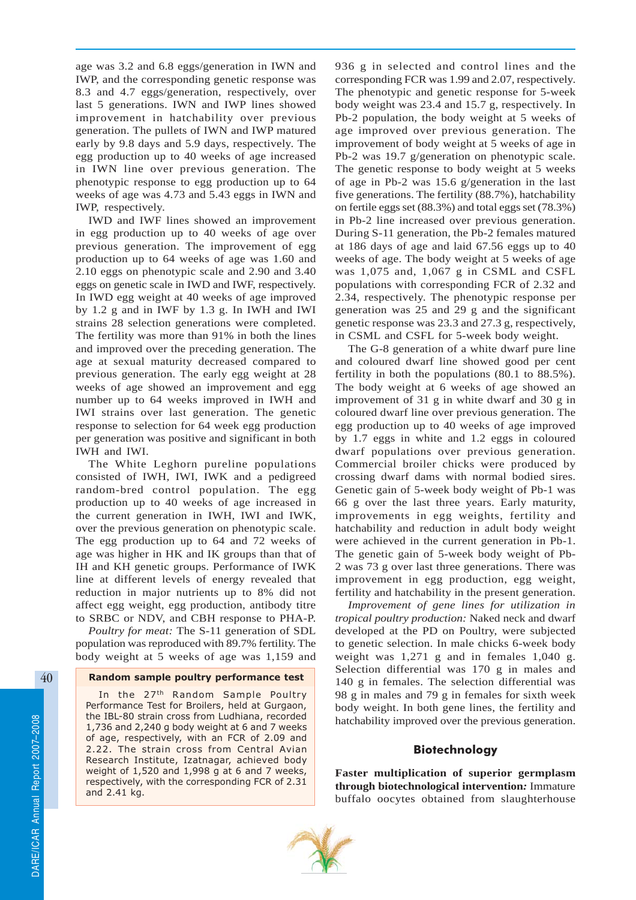age was 3.2 and 6.8 eggs/generation in IWN and IWP, and the corresponding genetic response was 8.3 and 4.7 eggs/generation, respectively, over last 5 generations. IWN and IWP lines showed improvement in hatchability over previous generation. The pullets of IWN and IWP matured early by 9.8 days and 5.9 days, respectively. The egg production up to 40 weeks of age increased in IWN line over previous generation. The phenotypic response to egg production up to 64 weeks of age was 4.73 and 5.43 eggs in IWN and IWP, respectively.

IWD and IWF lines showed an improvement in egg production up to 40 weeks of age over previous generation. The improvement of egg production up to 64 weeks of age was 1.60 and 2.10 eggs on phenotypic scale and 2.90 and 3.40 eggs on genetic scale in IWD and IWF, respectively. In IWD egg weight at 40 weeks of age improved by 1.2 g and in IWF by 1.3 g. In IWH and IWI strains 28 selection generations were completed. The fertility was more than 91% in both the lines and improved over the preceding generation. The age at sexual maturity decreased compared to previous generation. The early egg weight at 28 weeks of age showed an improvement and egg number up to 64 weeks improved in IWH and IWI strains over last generation. The genetic response to selection for 64 week egg production per generation was positive and significant in both IWH and IWI.

The White Leghorn pureline populations consisted of IWH, IWI, IWK and a pedigreed random-bred control population. The egg production up to 40 weeks of age increased in the current generation in IWH, IWI and IWK, over the previous generation on phenotypic scale. The egg production up to 64 and 72 weeks of age was higher in HK and IK groups than that of IH and KH genetic groups. Performance of IWK line at different levels of energy revealed that reduction in major nutrients up to 8% did not affect egg weight, egg production, antibody titre to SRBC or NDV, and CBH response to PHA-P.

*Poultry for meat:* The S-11 generation of SDL population was reproduced with 89.7% fertility. The body weight at 5 weeks of age was 1,159 and

## Random sample poultry performance test

In the 27<sup>th</sup> Random Sample Poultry Performance Test for Broilers, held at Gurgaon, the IBL-80 strain cross from Ludhiana, recorded 1,736 and 2,240 g body weight at 6 and 7 weeks of age, respectively, with an FCR of 2.09 and 2.22. The strain cross from Central Avian Research Institute, Izatnagar, achieved body weight of 1,520 and 1,998 g at 6 and 7 weeks, respectively, with the corresponding FCR of 2.31 and 2.41 kg.

936 g in selected and control lines and the corresponding FCR was 1.99 and 2.07, respectively. The phenotypic and genetic response for 5-week body weight was 23.4 and 15.7 g, respectively. In Pb-2 population, the body weight at 5 weeks of age improved over previous generation. The improvement of body weight at 5 weeks of age in Pb-2 was 19.7 g/generation on phenotypic scale. The genetic response to body weight at 5 weeks of age in Pb-2 was 15.6 g/generation in the last five generations. The fertility (88.7%), hatchability on fertile eggs set (88.3%) and total eggs set (78.3%) in Pb-2 line increased over previous generation. During S-11 generation, the Pb-2 females matured at 186 days of age and laid 67.56 eggs up to 40 weeks of age. The body weight at 5 weeks of age was 1,075 and, 1,067 g in CSML and CSFL populations with corresponding FCR of 2.32 and 2.34, respectively. The phenotypic response per generation was 25 and 29 g and the significant genetic response was 23.3 and 27.3 g, respectively, in CSML and CSFL for 5-week body weight.

The G-8 generation of a white dwarf pure line and coloured dwarf line showed good per cent fertility in both the populations (80.1 to 88.5%). The body weight at 6 weeks of age showed an improvement of 31 g in white dwarf and 30 g in coloured dwarf line over previous generation. The egg production up to 40 weeks of age improved by 1.7 eggs in white and 1.2 eggs in coloured dwarf populations over previous generation. Commercial broiler chicks were produced by crossing dwarf dams with normal bodied sires. Genetic gain of 5-week body weight of Pb-1 was 66 g over the last three years. Early maturity, improvements in egg weights, fertility and hatchability and reduction in adult body weight were achieved in the current generation in Pb-1. The genetic gain of 5-week body weight of Pb-2 was 73 g over last three generations. There was improvement in egg production, egg weight, fertility and hatchability in the present generation.

*Improvement of gene lines for utilization in tropical poultry production:* Naked neck and dwarf developed at the PD on Poultry, were subjected to genetic selection. In male chicks 6-week body weight was 1,271 g and in females 1,040 g. Selection differential was 170 g in males and 140 g in females. The selection differential was 98 g in males and 79 g in females for sixth week body weight. In both gene lines, the fertility and hatchability improved over the previous generation.

## Biotechnology

**Faster multiplication of superior germplasm through biotechnological intervention***:* Immature buffalo oocytes obtained from slaughterhouse

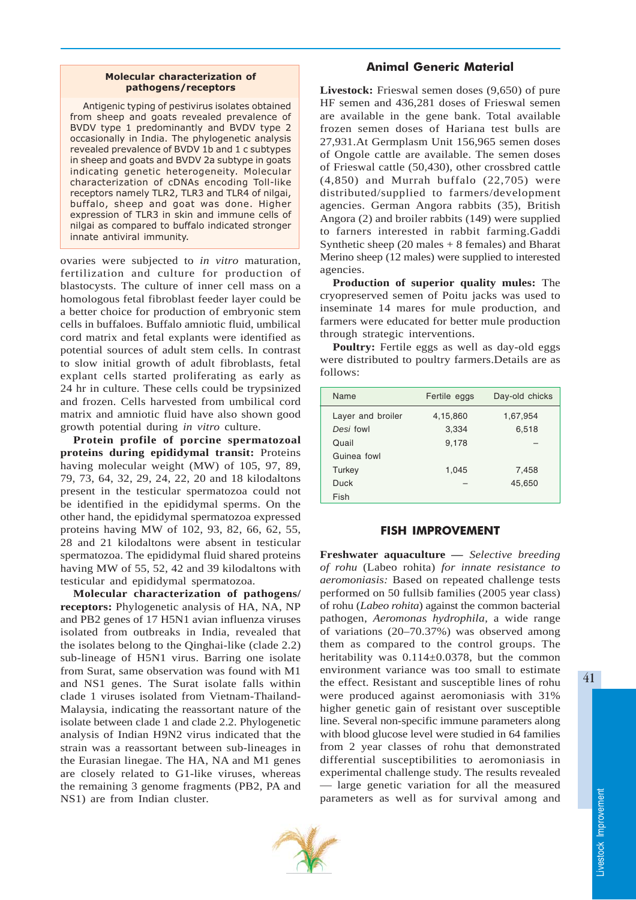## Molecular characterization of pathogens/receptors

Antigenic typing of pestivirus isolates obtained from sheep and goats revealed prevalence of BVDV type 1 predominantly and BVDV type 2 occasionally in India. The phylogenetic analysis revealed prevalence of BVDV 1b and 1 c subtypes in sheep and goats and BVDV 2a subtype in goats indicating genetic heterogeneity. Molecular characterization of cDNAs encoding Toll-like receptors namely TLR2, TLR3 and TLR4 of nilgai, buffalo, sheep and goat was done. Higher expression of TLR3 in skin and immune cells of nilgai as compared to buffalo indicated stronger innate antiviral immunity.

ovaries were subjected to *in vitro* maturation, fertilization and culture for production of blastocysts. The culture of inner cell mass on a homologous fetal fibroblast feeder layer could be a better choice for production of embryonic stem cells in buffaloes. Buffalo amniotic fluid, umbilical cord matrix and fetal explants were identified as potential sources of adult stem cells. In contrast to slow initial growth of adult fibroblasts, fetal explant cells started proliferating as early as 24 hr in culture. These cells could be trypsinized and frozen. Cells harvested from umbilical cord matrix and amniotic fluid have also shown good growth potential during *in vitro* culture.

**Protein profile of porcine spermatozoal proteins during epididymal transit:** Proteins having molecular weight (MW) of 105, 97, 89, 79, 73, 64, 32, 29, 24, 22, 20 and 18 kilodaltons present in the testicular spermatozoa could not be identified in the epididymal sperms. On the other hand, the epididymal spermatozoa expressed proteins having MW of 102, 93, 82, 66, 62, 55, 28 and 21 kilodaltons were absent in testicular spermatozoa. The epididymal fluid shared proteins having MW of 55, 52, 42 and 39 kilodaltons with testicular and epididymal spermatozoa.

**Molecular characterization of pathogens/ receptors:** Phylogenetic analysis of HA, NA, NP and PB2 genes of 17 H5N1 avian influenza viruses isolated from outbreaks in India, revealed that the isolates belong to the Qinghai-like (clade 2.2) sub-lineage of H5N1 virus. Barring one isolate from Surat, same observation was found with M1 and NS1 genes. The Surat isolate falls within clade 1 viruses isolated from Vietnam-Thailand-Malaysia, indicating the reassortant nature of the isolate between clade 1 and clade 2.2. Phylogenetic analysis of Indian H9N2 virus indicated that the strain was a reassortant between sub-lineages in the Eurasian linegae. The HA, NA and M1 genes are closely related to G1-like viruses, whereas the remaining 3 genome fragments (PB2, PA and NS1) are from Indian cluster.

# Animal Generic Material

**Livestock:** Frieswal semen doses (9,650) of pure HF semen and 436,281 doses of Frieswal semen are available in the gene bank. Total available frozen semen doses of Hariana test bulls are 27,931.At Germplasm Unit 156,965 semen doses of Ongole cattle are available. The semen doses of Frieswal cattle (50,430), other crossbred cattle  $(4,850)$  and Murrah buffalo  $(22,705)$  were distributed/supplied to farmers/development agencies. German Angora rabbits (35), British Angora (2) and broiler rabbits (149) were supplied to farners interested in rabbit farming.Gaddi Synthetic sheep  $(20 \text{ males} + 8 \text{ females})$  and Bharat Merino sheep (12 males) were supplied to interested agencies.

**Production of superior quality mules:** The cryopreserved semen of Poitu jacks was used to inseminate 14 mares for mule production, and farmers were educated for better mule production through strategic interventions.

**Poultry:** Fertile eggs as well as day-old eggs were distributed to poultry farmers.Details are as follows:

| Name              | Fertile eggs | Day-old chicks |
|-------------------|--------------|----------------|
| Layer and broiler | 4,15,860     | 1,67,954       |
| Desi fowl         | 3,334        | 6,518          |
| Quail             | 9,178        |                |
| Guinea fowl       |              |                |
| Turkey            | 1,045        | 7,458          |
| Duck              |              | 45,650         |
| Fish              |              |                |

## FISH IMPROVEMENT

**Freshwater aquaculture —** *Selective breeding of rohu* (Labeo rohita) *for innate resistance to aeromoniasis:* Based on repeated challenge tests performed on 50 fullsib families (2005 year class) of rohu (*Labeo rohita*) against the common bacterial pathogen, *Aeromonas hydrophila,* a wide range of variations (20–70.37%) was observed among them as compared to the control groups. The heritability was 0.114±0.0378, but the common environment variance was too small to estimate the effect. Resistant and susceptible lines of rohu were produced against aeromoniasis with 31% higher genetic gain of resistant over susceptible line. Several non-specific immune parameters along with blood glucose level were studied in 64 families from 2 year classes of rohu that demonstrated differential susceptibilities to aeromoniasis in experimental challenge study. The results revealed — large genetic variation for all the measured parameters as well as for survival among and

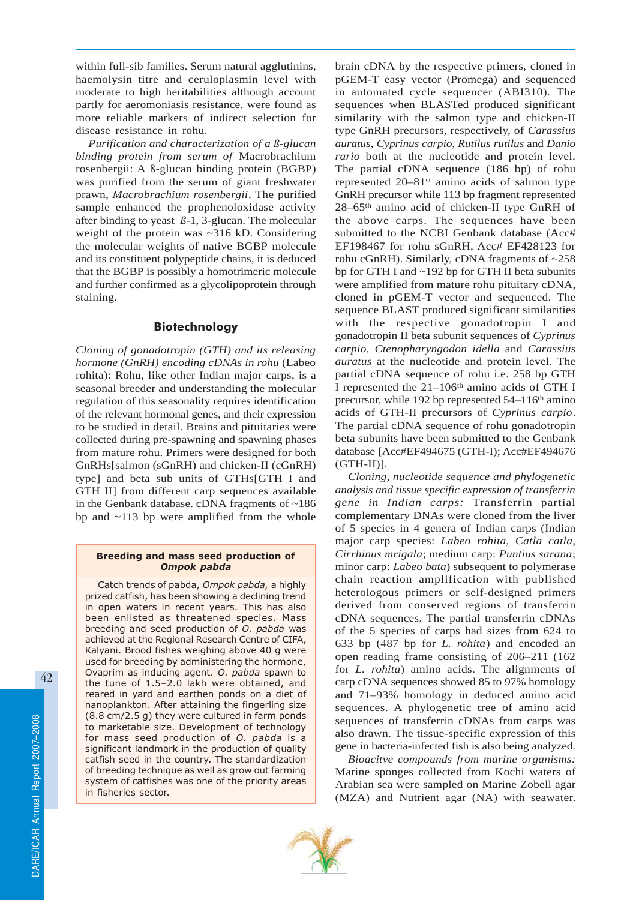within full-sib families. Serum natural agglutinins, haemolysin titre and ceruloplasmin level with moderate to high heritabilities although account partly for aeromoniasis resistance, were found as more reliable markers of indirect selection for disease resistance in rohu.

*Purification and characterization of a ß-glucan binding protein from serum of* Macrobrachium rosenbergii: A ß-glucan binding protein (BGBP) was purified from the serum of giant freshwater prawn, *Macrobrachium rosenbergii*. The purified sample enhanced the prophenoloxidase activity after binding to yeast *ß*-1, 3-glucan. The molecular weight of the protein was ~316 kD. Considering the molecular weights of native BGBP molecule and its constituent polypeptide chains, it is deduced that the BGBP is possibly a homotrimeric molecule and further confirmed as a glycolipoprotein through staining.

## Biotechnology

*Cloning of gonadotropin (GTH) and its releasing hormone (GnRH) encoding cDNAs in rohu* (Labeo rohita): Rohu, like other Indian major carps, is a seasonal breeder and understanding the molecular regulation of this seasonality requires identification of the relevant hormonal genes, and their expression to be studied in detail. Brains and pituitaries were collected during pre-spawning and spawning phases from mature rohu. Primers were designed for both GnRHs[salmon (sGnRH) and chicken-II (cGnRH) type] and beta sub units of GTHs[GTH I and GTH II] from different carp sequences available in the Genbank database. cDNA fragments of ~186 bp and ~113 bp were amplified from the whole

#### Breeding and mass seed production of Ompok pabda

Catch trends of pabda, Ompok pabda, a highly prized catfish, has been showing a declining trend in open waters in recent years. This has also been enlisted as threatened species. Mass breeding and seed production of O. pabda was achieved at the Regional Research Centre of CIFA, Kalyani. Brood fishes weighing above 40 g were used for breeding by administering the hormone, Ovaprim as inducing agent. O. pabda spawn to the tune of 1.5–2.0 lakh were obtained, and reared in yard and earthen ponds on a diet of nanoplankton. After attaining the fingerling size (8.8 cm/2.5 g) they were cultured in farm ponds to marketable size. Development of technology for mass seed production of O. pabda is a significant landmark in the production of quality catfish seed in the country. The standardization of breeding technique as well as grow out farming system of catfishes was one of the priority areas in fisheries sector.

brain cDNA by the respective primers, cloned in pGEM-T easy vector (Promega) and sequenced in automated cycle sequencer (ABI310). The sequences when BLASTed produced significant similarity with the salmon type and chicken-II type GnRH precursors, respectively, of *Carassius auratus*, *Cyprinus carpio, Rutilus rutilus* and *Danio rario* both at the nucleotide and protein level. The partial cDNA sequence (186 bp) of rohu represented  $20-81$ <sup>st</sup> amino acids of salmon type GnRH precursor while 113 bp fragment represented 28–65th amino acid of chicken-II type GnRH of the above carps. The sequences have been submitted to the NCBI Genbank database (Acc# EF198467 for rohu sGnRH, Acc# EF428123 for rohu cGnRH). Similarly, cDNA fragments of ~258 bp for GTH I and ~192 bp for GTH II beta subunits were amplified from mature rohu pituitary cDNA, cloned in pGEM-T vector and sequenced. The sequence BLAST produced significant similarities with the respective gonadotropin I and gonadotropin II beta subunit sequences of *Cyprinus carpio, Ctenopharyngodon idella* and *Carassius auratus* at the nucleotide and protein level. The partial cDNA sequence of rohu i.e. 258 bp GTH I represented the  $21-106$ <sup>th</sup> amino acids of GTH I precursor, while 192 bp represented  $54-116$ <sup>th</sup> amino acids of GTH-II precursors of *Cyprinus carpio*. The partial cDNA sequence of rohu gonadotropin beta subunits have been submitted to the Genbank database [Acc#EF494675 (GTH-I); Acc#EF494676  $(GTH-II)$ ].

*Cloning, nucleotide sequence and phylogenetic analysis and tissue specific expression of transferrin gene in Indian carps:* Transferrin partial complementary DNAs were cloned from the liver of 5 species in 4 genera of Indian carps (Indian major carp species: *Labeo rohita, Catla catla, Cirrhinus mrigala*; medium carp: *Puntius sarana*; minor carp: *Labeo bata*) subsequent to polymerase chain reaction amplification with published heterologous primers or self-designed primers derived from conserved regions of transferrin cDNA sequences. The partial transferrin cDNAs of the 5 species of carps had sizes from 624 to 633 bp (487 bp for *L. rohita*) and encoded an open reading frame consisting of 206–211 (162 for *L. rohita*) amino acids. The alignments of carp cDNA sequences showed 85 to 97% homology and 71–93% homology in deduced amino acid sequences. A phylogenetic tree of amino acid sequences of transferrin cDNAs from carps was also drawn. The tissue-specific expression of this gene in bacteria-infected fish is also being analyzed.

*Bioacitve compounds from marine organisms:* Marine sponges collected from Kochi waters of Arabian sea were sampled on Marine Zobell agar (MZA) and Nutrient agar (NA) with seawater.